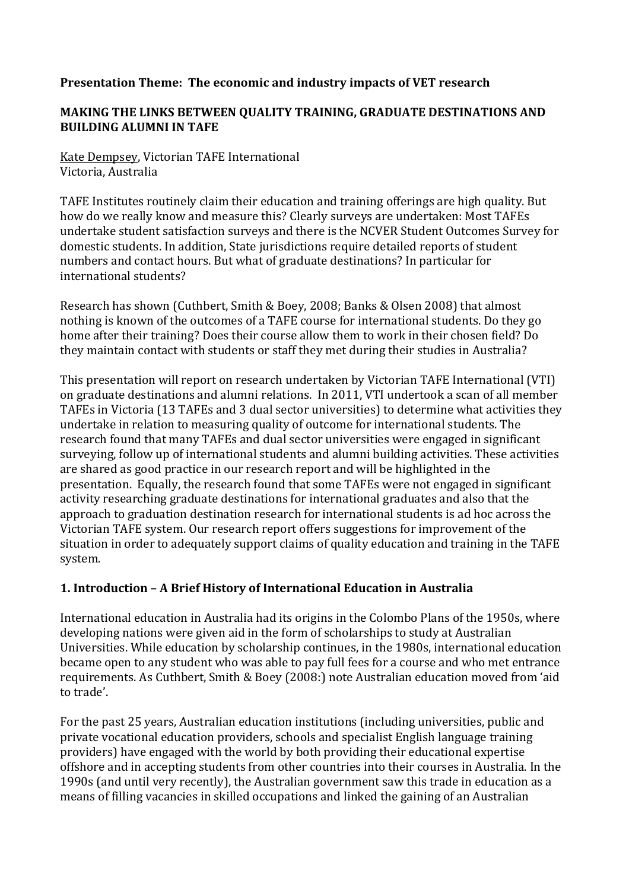### **Presentation Theme: The economic and industry impacts of VET research**

## **MAKING THE LINKS BETWEEN QUALITY TRAINING, GRADUATE DESTINATIONS AND BUILDING ALUMNI IN TAFE**

Kate Dempsey, Victorian TAFE International Victoria,!Australia

TAFE Institutes routinely claim their education and training offerings are high quality. But how do we really know and measure this? Clearly surveys are undertaken: Most TAFEs undertake student satisfaction surveys and there is the NCVER Student Outcomes Survey for domestic students. In addition, State jurisdictions require detailed reports of student numbers and contact hours. But what of graduate destinations? In particular for international students?

Research has shown (Cuthbert, Smith & Boey, 2008; Banks & Olsen 2008) that almost nothing is known of the outcomes of a TAFE course for international students. Do they go home after their training? Does their course allow them to work in their chosen field? Do they maintain contact with students or staff they met during their studies in Australia?

This presentation will report on research undertaken by Victorian TAFE International (VTI) on graduate destinations and alumni relations. In 2011, VTI undertook a scan of all member TAFEs in Victoria (13 TAFEs and 3 dual sector universities) to determine what activities they undertake in relation to measuring quality of outcome for international students. The research found that many TAFEs and dual sector universities were engaged in significant surveying, follow up of international students and alumni building activities. These activities are shared as good practice in our research report and will be highlighted in the presentation. Equally, the research found that some TAFEs were not engaged in significant activity researching graduate destinations for international graduates and also that the approach to graduation destination research for international students is ad hoc across the Victorian TAFE system. Our research report offers suggestions for improvement of the situation in order to adequately support claims of quality education and training in the TAFE system.

# 1. Introduction - A Brief History of International Education in Australia

International education in Australia had its origins in the Colombo Plans of the 1950s, where developing nations were given aid in the form of scholarships to study at Australian Universities. While education by scholarship continues, in the 1980s, international education became open to any student who was able to pay full fees for a course and who met entrance requirements. As Cuthbert, Smith & Boey (2008:) note Australian education moved from 'aid to trade'.

For the past 25 years, Australian education institutions (including universities, public and private vocational education providers, schools and specialist English language training providers) have engaged with the world by both providing their educational expertise offshore and in accepting students from other countries into their courses in Australia. In the 1990s (and until very recently), the Australian government saw this trade in education as a means of filling vacancies in skilled occupations and linked the gaining of an Australian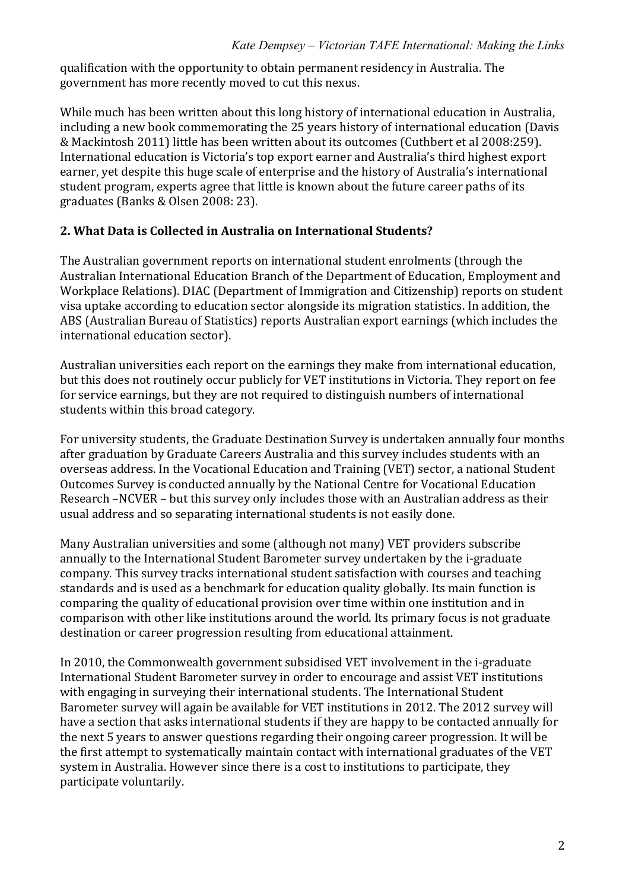qualification with the opportunity to obtain permanent residency in Australia. The government has more recently moved to cut this nexus.

While much has been written about this long history of international education in Australia. including a new book commemorating the 25 years history of international education (Davis & Mackintosh 2011) little has been written about its outcomes (Cuthbert et al 2008:259). International education is Victoria's top export earner and Australia's third highest export earner, vet despite this huge scale of enterprise and the history of Australia's international student program, experts agree that little is known about the future career paths of its graduates (Banks & Olsen 2008: 23).

## 2. What Data is Collected in Australia on International Students?

The Australian government reports on international student enrolments (through the Australian International Education Branch of the Department of Education, Employment and Workplace Relations). DIAC (Department of Immigration and Citizenship) reports on student visa uptake according to education sector alongside its migration statistics. In addition, the ABS (Australian Bureau of Statistics) reports Australian export earnings (which includes the international education sector).

Australian universities each report on the earnings they make from international education, but this does not routinely occur publicly for VET institutions in Victoria. They report on fee for service earnings, but they are not required to distinguish numbers of international students within this broad category.

For university students, the Graduate Destination Survey is undertaken annually four months after graduation by Graduate Careers Australia and this survey includes students with an overseas address. In the Vocational Education and Training (VET) sector, a national Student Outcomes Survey is conducted annually by the National Centre for Vocational Education Research –NCVER – but this survey only includes those with an Australian address as their usual address and so separating international students is not easily done.

Many Australian universities and some (although not many) VET providers subscribe annually to the International Student Barometer survey undertaken by the i-graduate company. This survey tracks international student satisfaction with courses and teaching standards and is used as a benchmark for education quality globally. Its main function is comparing the quality of educational provision over time within one institution and in comparison with other like institutions around the world. Its primary focus is not graduate destination or career progression resulting from educational attainment.

In 2010, the Commonwealth government subsidised VET involvement in the i-graduate International Student Barometer survey in order to encourage and assist VET institutions with engaging in surveying their international students. The International Student Barometer survey will again be available for VET institutions in 2012. The 2012 survey will have a section that asks international students if they are happy to be contacted annually for the next 5 years to answer questions regarding their ongoing career progression. It will be the first attempt to systematically maintain contact with international graduates of the VET system in Australia. However since there is a cost to institutions to participate, they participate voluntarily.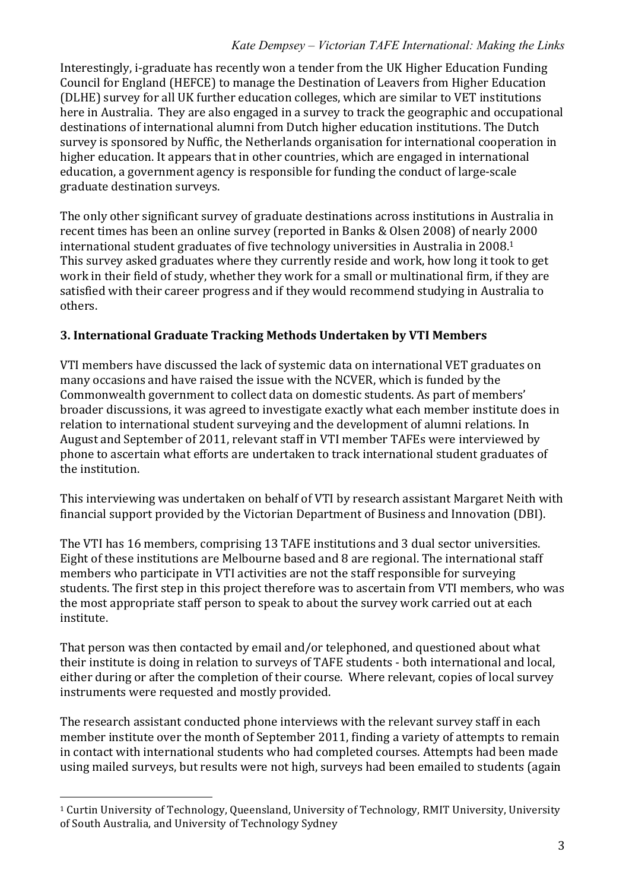Interestingly, i-graduate has recently won a tender from the UK Higher Education Funding Council for England (HEFCE) to manage the Destination of Leavers from Higher Education (DLHE) survey for all UK further education colleges, which are similar to VET institutions here in Australia. They are also engaged in a survey to track the geographic and occupational destinations of international alumni from Dutch higher education institutions. The Dutch survey is sponsored by Nuffic, the Netherlands organisation for international cooperation in higher education. It appears that in other countries, which are engaged in international education, a government agency is responsible for funding the conduct of large-scale graduate destination surveys.

The only other significant survey of graduate destinations across institutions in Australia in recent times has been an online survey (reported in Banks & Olsen 2008) of nearly 2000 international student graduates of five technology universities in Australia in 2008.<sup>1</sup> This survey asked graduates where they currently reside and work, how long it took to get work in their field of study, whether they work for a small or multinational firm, if they are satisfied with their career progress and if they would recommend studying in Australia to others.

# **3.\*International\*Graduate\*Tracking\*Methods\*Undertaken\*by\*VTI\*Members**

VTI members have discussed the lack of systemic data on international VET graduates on many occasions and have raised the issue with the NCVER, which is funded by the Commonwealth government to collect data on domestic students. As part of members' broader discussions, it was agreed to investigate exactly what each member institute does in relation to international student surveying and the development of alumni relations. In August and September of 2011, relevant staff in VTI member TAFEs were interviewed by phone to ascertain what efforts are undertaken to track international student graduates of the institution.

This interviewing was undertaken on behalf of VTI by research assistant Margaret Neith with financial support provided by the Victorian Department of Business and Innovation (DBI).

The VTI has 16 members, comprising 13 TAFE institutions and 3 dual sector universities. Eight of these institutions are Melbourne based and 8 are regional. The international staff members who participate in VTI activities are not the staff responsible for surveying students. The first step in this project therefore was to ascertain from VTI members, who was the most appropriate staff person to speak to about the survey work carried out at each institute.

That person was then contacted by email and/or telephoned, and questioned about what their institute is doing in relation to surveys of TAFE students - both international and local, either during or after the completion of their course. Where relevant, copies of local survey instruments were requested and mostly provided.

The research assistant conducted phone interviews with the relevant survey staff in each member institute over the month of September 2011, finding a variety of attempts to remain in contact with international students who had completed courses. Attempts had been made using mailed surveys, but results were not high, surveys had been emailed to students (again

!!!!!!!!!!!!!!!!!!!!!!!!!!!!!!!!!!!!!!!!!!!!!!!!!!!!!!!

<sup>&</sup>lt;sup>1</sup> Curtin University of Technology, Queensland, University of Technology, RMIT University, University of South Australia, and University of Technology Sydney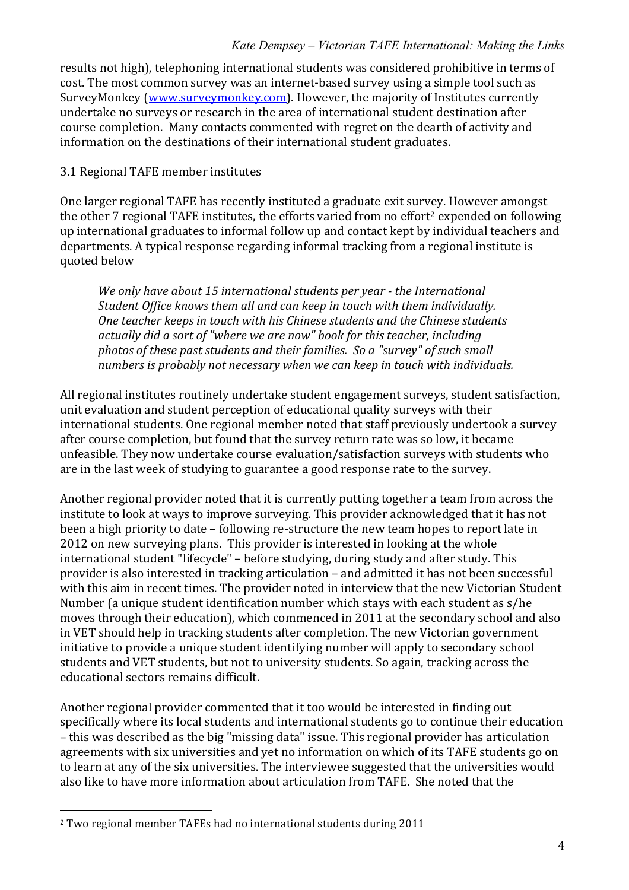results not high), telephoning international students was considered prohibitive in terms of cost. The most common survey was an internet-based survey using a simple tool such as SurveyMonkey (www.surveymonkey.com). However, the majority of Institutes currently undertake no surveys or research in the area of international student destination after course completion. Many contacts commented with regret on the dearth of activity and information on the destinations of their international student graduates.

## 3.1 Regional TAFE member institutes

One larger regional TAFE has recently instituted a graduate exit survey. However amongst the other 7 regional TAFE institutes, the efforts varied from no effort<sup>2</sup> expended on following up international graduates to informal follow up and contact kept by individual teachers and departments. A typical response regarding informal tracking from a regional institute is quoted below

*We only have about 15 international students per year - the International Student Office knows them all and can keep in touch with them individually. One teacher keeps in touch with his Chinese students and the Chinese students* actually did a sort of "where we are now" book for this teacher, including *photos of these past students and their families. So a "survey" of such small* numbers is probably not necessary when we can keep in touch with individuals.

All regional institutes routinely undertake student engagement surveys, student satisfaction, unit evaluation and student perception of educational quality surveys with their international students. One regional member noted that staff previously undertook a survey after course completion, but found that the survey return rate was so low, it became unfeasible. They now undertake course evaluation/satisfaction surveys with students who are in the last week of studying to guarantee a good response rate to the survey.

Another regional provider noted that it is currently putting together a team from across the institute to look at ways to improve surveying. This provider acknowledged that it has not been a high priority to date – following re-structure the new team hopes to report late in 2012 on new surveying plans. This provider is interested in looking at the whole international student "lifecycle" – before studying, during study and after study. This provider is also interested in tracking articulation – and admitted it has not been successful with this aim in recent times. The provider noted in interview that the new Victorian Student Number (a unique student identification number which stays with each student as s/he moves through their education), which commenced in 2011 at the secondary school and also in VET should help in tracking students after completion. The new Victorian government initiative to provide a unique student identifying number will apply to secondary school students and VET students, but not to university students. So again, tracking across the educational sectors remains difficult.

Another regional provider commented that it too would be interested in finding out specifically where its local students and international students go to continue their education – this was described as the big "missing data" issue. This regional provider has articulation agreements with six universities and yet no information on which of its TAFE students go on to learn at any of the six universities. The interviewee suggested that the universities would also like to have more information about articulation from TAFE. She noted that the

!!!!!!!!!!!!!!!!!!!!!!!!!!!!!!!!!!!!!!!!!!!!!!!!!!!!!!!

<sup>&</sup>lt;sup>2</sup> Two regional member TAFEs had no international students during 2011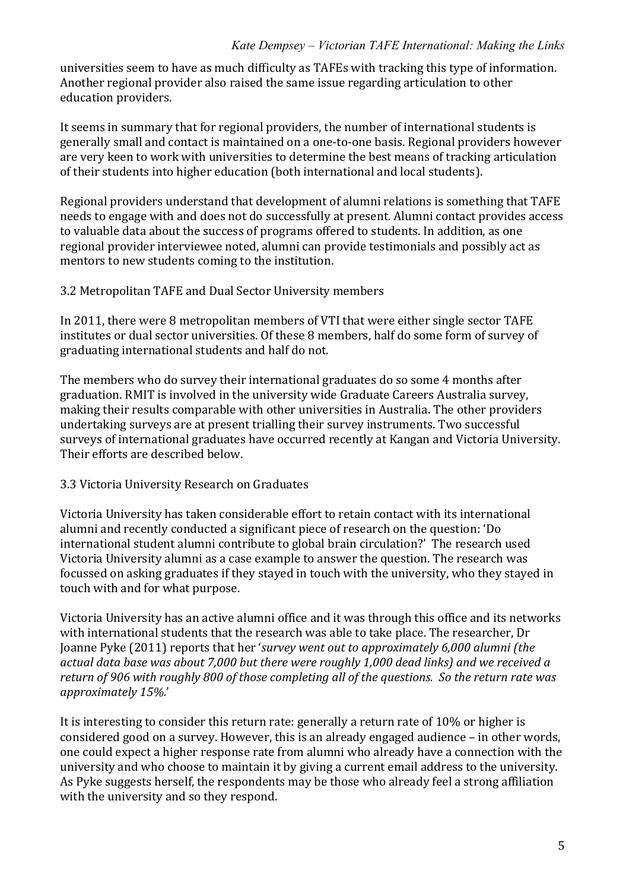universities seem to have as much difficulty as TAFEs with tracking this type of information. Another regional provider also raised the same issue regarding articulation to other education providers.

It seems in summary that for regional providers, the number of international students is generally small and contact is maintained on a one-to-one basis. Regional providers however are very keen to work with universities to determine the best means of tracking articulation of their students into higher education (both international and local students).

Regional providers understand that development of alumni relations is something that TAFE needs to engage with and does not do successfully at present. Alumni contact provides access to valuable data about the success of programs offered to students. In addition, as one regional provider interviewee noted, alumni can provide testimonials and possibly act as mentors to new students coming to the institution.

#### 3.2 Metropolitan TAFE and Dual Sector University members

In 2011, there were 8 metropolitan members of VTI that were either single sector TAFE institutes or dual sector universities. Of these 8 members, half do some form of survey of graduating international students and half do not.

The members who do survey their international graduates do so some 4 months after graduation. RMIT is involved in the university wide Graduate Careers Australia survey, making their results comparable with other universities in Australia. The other providers undertaking surveys are at present trialling their survey instruments. Two successful surveys of international graduates have occurred recently at Kangan and Victoria University. Their efforts are described below.

### 3.3 Victoria University Research on Graduates

Victoria University has taken considerable effort to retain contact with its international alumni and recently conducted a significant piece of research on the question: 'Do international student alumni contribute to global brain circulation?' The research used Victoria University alumni as a case example to answer the question. The research was focussed on asking graduates if they stayed in touch with the university, who they stayed in touch with and for what purpose.

Victoria University has an active alumni office and it was through this office and its networks with international students that the research was able to take place. The researcher, Dr Joanne Pyke (2011) reports that her '*survey went out to approximately 6,000 alumni (the* actual data base was about 7,000 but there were roughly 1,000 dead links) and we received a return of 906 with roughly 800 of those completing all of the questions. So the return rate was *approximately#15%.*'!

It is interesting to consider this return rate: generally a return rate of 10% or higher is considered good on a survey. However, this is an already engaged audience – in other words, one could expect a higher response rate from alumni who already have a connection with the university and who choose to maintain it by giving a current email address to the university. As Pyke suggests herself, the respondents may be those who already feel a strong affiliation with the university and so they respond.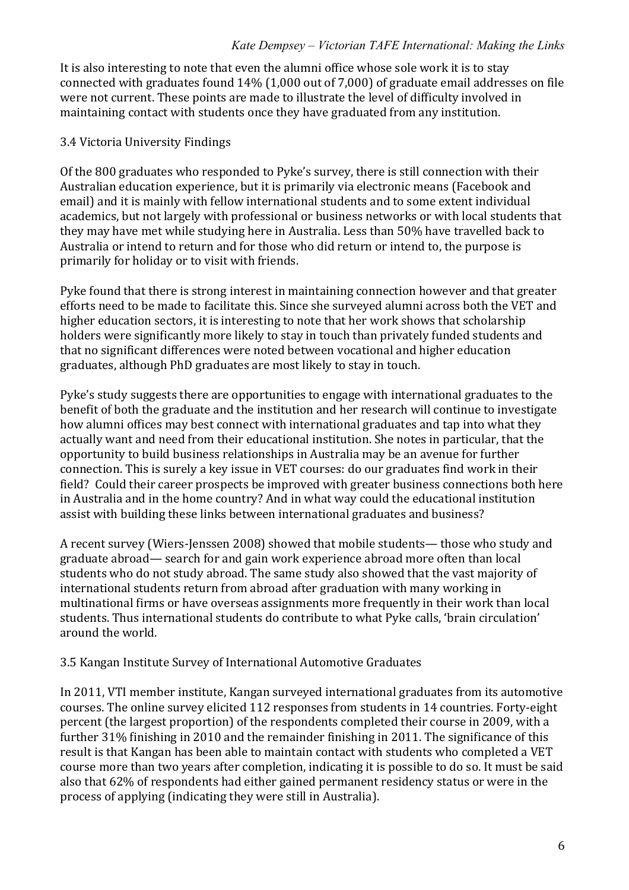It is also interesting to note that even the alumni office whose sole work it is to stay connected with graduates found 14% (1,000 out of 7,000) of graduate email addresses on file were not current. These points are made to illustrate the level of difficulty involved in maintaining contact with students once they have graduated from any institution.

### 3.4 Victoria University Findings

Of the 800 graduates who responded to Pyke's survey, there is still connection with their Australian education experience, but it is primarily via electronic means (Facebook and email) and it is mainly with fellow international students and to some extent individual academics, but not largely with professional or business networks or with local students that they may have met while studying here in Australia. Less than 50% have travelled back to Australia or intend to return and for those who did return or intend to, the purpose is primarily for holiday or to visit with friends.

Pyke found that there is strong interest in maintaining connection however and that greater efforts need to be made to facilitate this. Since she surveyed alumni across both the VET and higher education sectors, it is interesting to note that her work shows that scholarship holders were significantly more likely to stay in touch than privately funded students and that no significant differences were noted between vocational and higher education graduates, although PhD graduates are most likely to stay in touch.

Pyke's study suggests there are opportunities to engage with international graduates to the benefit of both the graduate and the institution and her research will continue to investigate how alumni offices may best connect with international graduates and tap into what they actually want and need from their educational institution. She notes in particular, that the opportunity to build business relationships in Australia may be an avenue for further connection. This is surely a key issue in VET courses: do our graduates find work in their field? Could their career prospects be improved with greater business connections both here in Australia and in the home country? And in what way could the educational institution assist with building these links between international graduates and business?

A recent survey (Wiers-Jenssen 2008) showed that mobile students— those who study and graduate abroad— search for and gain work experience abroad more often than local students who do not study abroad. The same study also showed that the vast majority of international students return from abroad after graduation with many working in multinational firms or have overseas assignments more frequently in their work than local students. Thus international students do contribute to what Pyke calls, 'brain circulation' around the world.

#### 3.5 Kangan Institute Survey of International Automotive Graduates

In 2011, VTI member institute, Kangan surveyed international graduates from its automotive courses. The online survey elicited 112 responses from students in 14 countries. Forty-eight percent (the largest proportion) of the respondents completed their course in 2009, with a further  $31\%$  finishing in 2010 and the remainder finishing in 2011. The significance of this result is that Kangan has been able to maintain contact with students who completed a VET course more than two years after completion, indicating it is possible to do so. It must be said also that 62% of respondents had either gained permanent residency status or were in the process of applying (indicating they were still in Australia).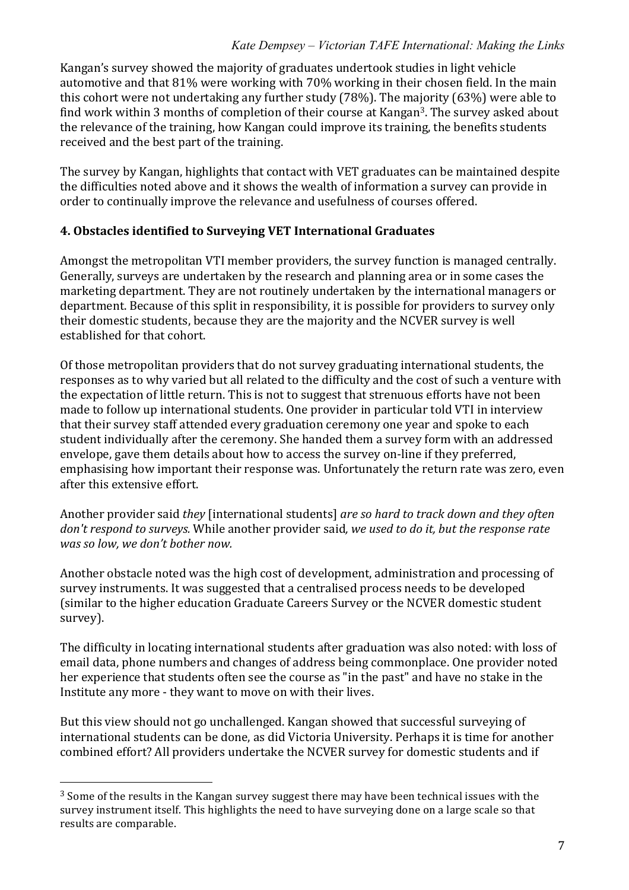Kangan's survey showed the majority of graduates undertook studies in light vehicle automotive and that  $81\%$  were working with  $70\%$  working in their chosen field. In the main this cohort were not undertaking any further study (78%). The majority (63%) were able to find work within 3 months of completion of their course at Kangan<sup>3</sup>. The survey asked about the relevance of the training, how Kangan could improve its training, the benefits students received and the best part of the training.

The survey by Kangan, highlights that contact with VET graduates can be maintained despite the difficulties noted above and it shows the wealth of information a survey can provide in order to continually improve the relevance and usefulness of courses offered.

## **4. Obstacles identified to Surveying VET International Graduates**

Amongst the metropolitan VTI member providers, the survey function is managed centrally. Generally, surveys are undertaken by the research and planning area or in some cases the marketing department. They are not routinely undertaken by the international managers or department. Because of this split in responsibility, it is possible for providers to survey only their domestic students, because they are the majority and the NCVER survey is well established for that cohort.

Of those metropolitan providers that do not survey graduating international students, the responses as to why varied but all related to the difficulty and the cost of such a venture with the expectation of little return. This is not to suggest that strenuous efforts have not been made to follow up international students. One provider in particular told VTI in interview that their survey staff attended every graduation ceremony one year and spoke to each student individually after the ceremony. She handed them a survey form with an addressed envelope, gave them details about how to access the survey on-line if they preferred, emphasising how important their response was. Unfortunately the return rate was zero, even after this extensive effort.

Another provider said *they* [international students] *are so hard to track down and they often don't respond to surveys.* While another provider said, we used to do it, but the response rate *was so low, we don't bother now.* 

Another obstacle noted was the high cost of development, administration and processing of survey instruments. It was suggested that a centralised process needs to be developed (similar to the higher education Graduate Careers Survey or the NCVER domestic student survey).

The difficulty in locating international students after graduation was also noted: with loss of email data, phone numbers and changes of address being commonplace. One provider noted her experience that students often see the course as "in the past" and have no stake in the Institute any more - they want to move on with their lives.

But this view should not go unchallenged. Kangan showed that successful surveying of international students can be done, as did Victoria University. Perhaps it is time for another combined effort? All providers undertake the NCVER survey for domestic students and if

!!!!!!!!!!!!!!!!!!!!!!!!!!!!!!!!!!!!!!!!!!!!!!!!!!!!!!!

 $3$  Some of the results in the Kangan survey suggest there may have been technical issues with the survey instrument itself. This highlights the need to have surveying done on a large scale so that results are comparable.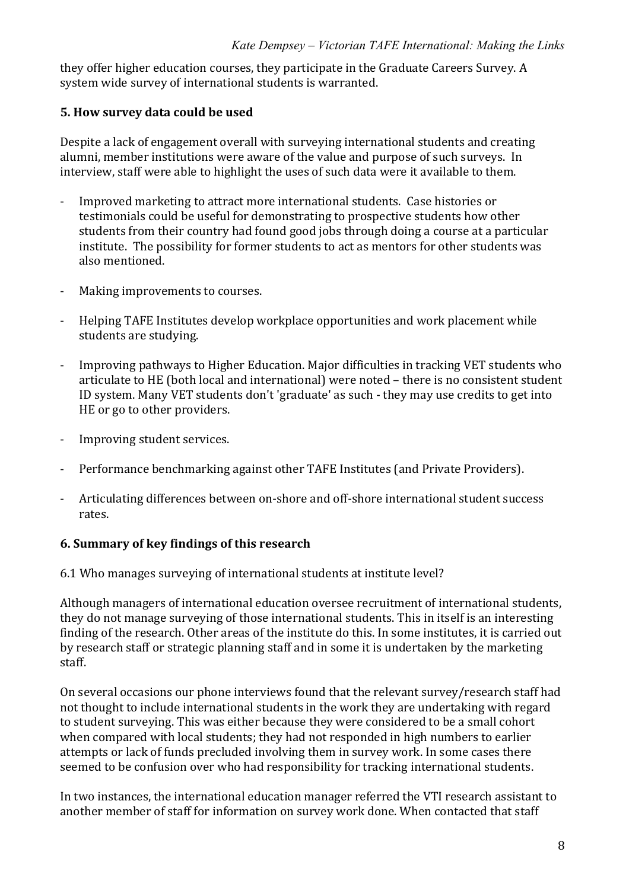they offer higher education courses, they participate in the Graduate Careers Survey. A system wide survey of international students is warranted.

## **5. How survey data could be used**

Despite a lack of engagement overall with surveying international students and creating alumni, member institutions were aware of the value and purpose of such surveys. In interview, staff were able to highlight the uses of such data were it available to them.

- Improved marketing to attract more international students. Case histories or testimonials could be useful for demonstrating to prospective students how other students from their country had found good jobs through doing a course at a particular institute. The possibility for former students to act as mentors for other students was also mentioned.
- Making improvements to courses.
- Helping TAFE Institutes develop workplace opportunities and work placement while students are studying.
- Improving pathways to Higher Education. Major difficulties in tracking VET students who articulate to HE (both local and international) were noted – there is no consistent student ID system. Many VET students don't 'graduate' as such - they may use credits to get into HE or go to other providers.
- Improving student services.
- Performance benchmarking against other TAFE Institutes (and Private Providers).
- Articulating differences between on-shore and off-shore international student success rates.

# **6.\*Summary\*of\*key\*findings\*of\*this\*research**

6.1 Who manages surveying of international students at institute level?

Although managers of international education oversee recruitment of international students, they do not manage surveying of those international students. This in itself is an interesting finding of the research. Other areas of the institute do this. In some institutes, it is carried out by research staff or strategic planning staff and in some it is undertaken by the marketing staff.

On several occasions our phone interviews found that the relevant survey/research staff had not thought to include international students in the work they are undertaking with regard to student surveying. This was either because they were considered to be a small cohort when compared with local students; they had not responded in high numbers to earlier attempts or lack of funds precluded involving them in survey work. In some cases there seemed to be confusion over who had responsibility for tracking international students.

In two instances, the international education manager referred the VTI research assistant to another member of staff for information on survey work done. When contacted that staff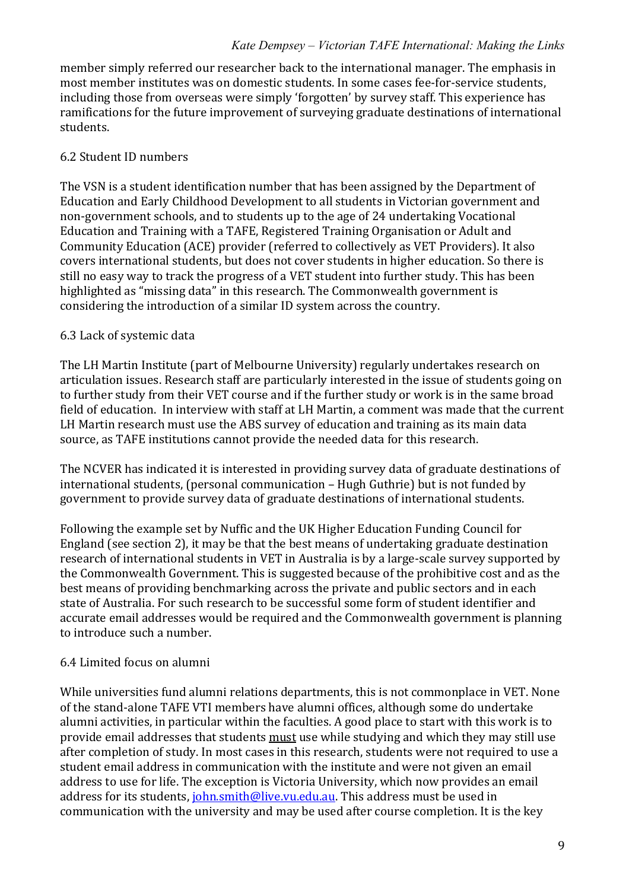member simply referred our researcher back to the international manager. The emphasis in most member institutes was on domestic students. In some cases fee-for-service students, including those from overseas were simply 'forgotten' by survey staff. This experience has ramifications for the future improvement of surveying graduate destinations of international students.

# 6.2 Student ID numbers

The VSN is a student identification number that has been assigned by the Department of Education and Early Childhood Development to all students in Victorian government and non-government schools, and to students up to the age of 24 undertaking Vocational Education and Training with a TAFE, Registered Training Organisation or Adult and Community Education (ACE) provider (referred to collectively as VET Providers). It also covers international students, but does not cover students in higher education. So there is still no easy way to track the progress of a VET student into further study. This has been highlighted as "missing data" in this research. The Commonwealth government is considering the introduction of a similar ID system across the country.

## 6.3 Lack of systemic data

The LH Martin Institute (part of Melbourne University) regularly undertakes research on articulation issues. Research staff are particularly interested in the issue of students going on to further study from their VET course and if the further study or work is in the same broad field of education. In interview with staff at LH Martin, a comment was made that the current LH Martin research must use the ABS survey of education and training as its main data source, as TAFE institutions cannot provide the needed data for this research.

The NCVER has indicated it is interested in providing survey data of graduate destinations of international students, (personal communication – Hugh Guthrie) but is not funded by government to provide survey data of graduate destinations of international students.

Following the example set by Nuffic and the UK Higher Education Funding Council for England (see section 2), it may be that the best means of undertaking graduate destination research of international students in VET in Australia is by a large-scale survey supported by the Commonwealth Government. This is suggested because of the prohibitive cost and as the best means of providing benchmarking across the private and public sectors and in each state of Australia. For such research to be successful some form of student identifier and accurate email addresses would be required and the Commonwealth government is planning to introduce such a number.

# 6.4 Limited focus on alumni

While universities fund alumni relations departments, this is not commonplace in VET. None of the stand-alone TAFE VTI members have alumni offices, although some do undertake alumni activities, in particular within the faculties. A good place to start with this work is to provide email addresses that students must use while studying and which they may still use after completion of study. In most cases in this research, students were not required to use a student email address in communication with the institute and were not given an email address to use for life. The exception is Victoria University, which now provides an email address for its students,  $\frac{\delta}{\delta}$  iohn.smith@live.vu.edu.au. This address must be used in communication with the university and may be used after course completion. It is the key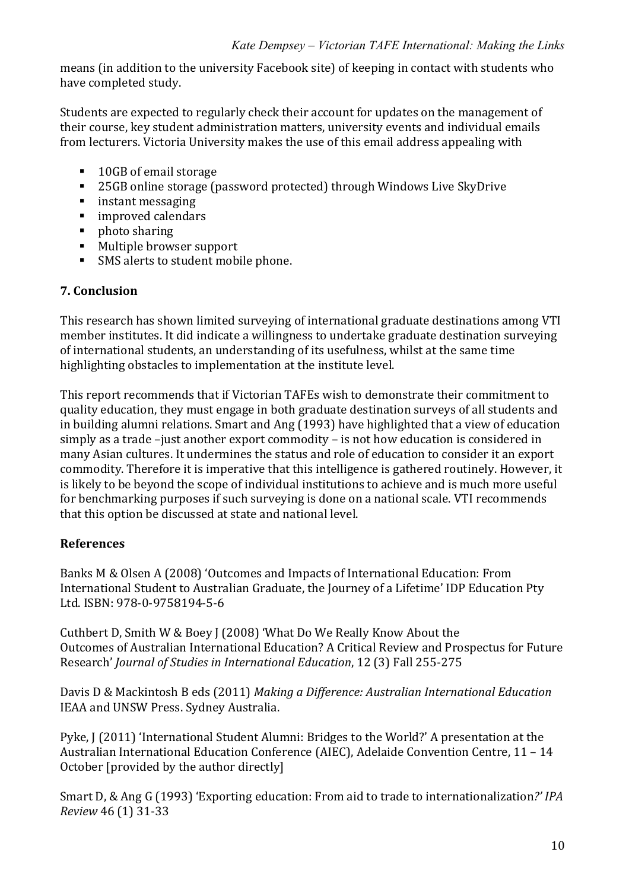means (in addition to the university Facebook site) of keeping in contact with students who have completed study.

Students are expected to regularly check their account for updates on the management of their course, key student administration matters, university events and individual emails from lecturers. Victoria University makes the use of this email address appealing with

- 10GB of email storage
- **25GB online storage (password protected) through Windows Live SkyDrive**
- **n** instant messaging
- improved calendars
- $\blacksquare$  photo sharing
- Multiple browser support
- SMS alerts to student mobile phone.

## **7.\*Conclusion**

This research has shown limited surveying of international graduate destinations among VTI member institutes. It did indicate a willingness to undertake graduate destination surveying of international students, an understanding of its usefulness, whilst at the same time highlighting obstacles to implementation at the institute level.

This report recommends that if Victorian TAFEs wish to demonstrate their commitment to quality education, they must engage in both graduate destination surveys of all students and in building alumni relations. Smart and Ang (1993) have highlighted that a view of education simply as a trade –just another export commodity – is not how education is considered in many Asian cultures. It undermines the status and role of education to consider it an export commodity. Therefore it is imperative that this intelligence is gathered routinely. However, it is likely to be beyond the scope of individual institutions to achieve and is much more useful for benchmarking purposes if such surveying is done on a national scale. VTI recommends that this option be discussed at state and national level.

# **References**

Banks M & Olsen A (2008) 'Outcomes and Impacts of International Education: From International Student to Australian Graduate, the Journey of a Lifetime' IDP Education Pty Ltd. ISBN: 978-0-9758194-5-6

Cuthbert D, Smith W & Boey J (2008) 'What Do We Really Know About the Outcomes of Australian International Education? A Critical Review and Prospectus for Future Research' *Journal of Studies in International Education*, 12 (3) Fall 255-275

Davis D & Mackintosh B eds (2011) *Making a Difference: Australian International Education* IEAA and UNSW Press. Sydney Australia.

Pyke, J (2011) 'International Student Alumni: Bridges to the World?' A presentation at the Australian International Education Conference (AIEC), Adelaide Convention Centre, 11 – 14 October [provided by the author directly]

Smart D, & Ang G (1993) 'Exporting education: From aid to trade to internationalization?' *IPA Review 46 (1) 31-33*